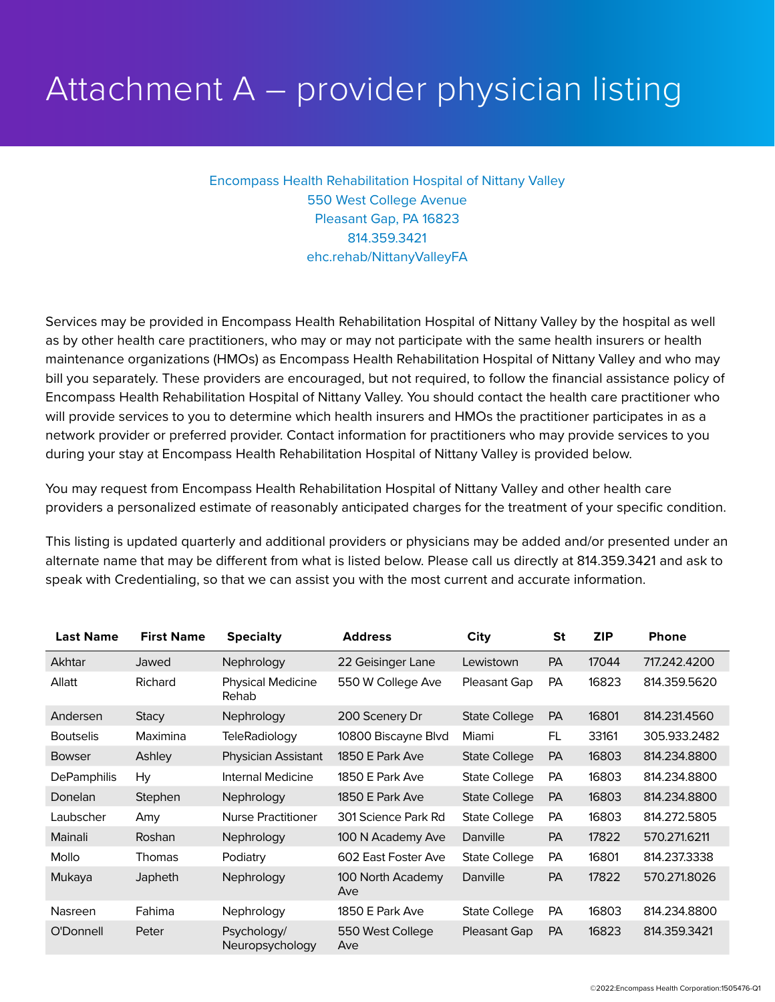## Attachment A – provider physician listing

Encompass Health Rehabilitation Hospital of Nittany Valley 550 West College Avenue Pleasant Gap, PA 16823 814.359.3421 ehc.rehab/NittanyValleyFA

Services may be provided in Encompass Health Rehabilitation Hospital of Nittany Valley by the hospital as well as by other health care practitioners, who may or may not participate with the same health insurers or health maintenance organizations (HMOs) as Encompass Health Rehabilitation Hospital of Nittany Valley and who may bill you separately. These providers are encouraged, but not required, to follow the financial assistance policy of Encompass Health Rehabilitation Hospital of Nittany Valley. You should contact the health care practitioner who will provide services to you to determine which health insurers and HMOs the practitioner participates in as a network provider or preferred provider. Contact information for practitioners who may provide services to you during your stay at Encompass Health Rehabilitation Hospital of Nittany Valley is provided below.

You may request from Encompass Health Rehabilitation Hospital of Nittany Valley and other health care providers a personalized estimate of reasonably anticipated charges for the treatment of your specific condition.

This listing is updated quarterly and additional providers or physicians may be added and/or presented under an alternate name that may be different from what is listed below. Please call us directly at 814.359.3421 and ask to speak with Credentialing, so that we can assist you with the most current and accurate information.

| <b>Last Name</b>   | <b>First Name</b> | <b>Specialty</b>                  | <b>Address</b>           | <b>City</b>          | <b>St</b> | <b>ZIP</b> | <b>Phone</b> |
|--------------------|-------------------|-----------------------------------|--------------------------|----------------------|-----------|------------|--------------|
| Akhtar             | Jawed             | Nephrology                        | 22 Geisinger Lane        | Lewistown            | <b>PA</b> | 17044      | 717.242.4200 |
| Allatt             | Richard           | <b>Physical Medicine</b><br>Rehab | 550 W College Ave        | Pleasant Gap         | <b>PA</b> | 16823      | 814.359.5620 |
| Andersen           | <b>Stacy</b>      | Nephrology                        | 200 Scenery Dr           | <b>State College</b> | <b>PA</b> | 16801      | 814.231.4560 |
| <b>Boutselis</b>   | Maximina          | <b>TeleRadiology</b>              | 10800 Biscayne Blvd      | Miami                | FL        | 33161      | 305.933.2482 |
| <b>Bowser</b>      | Ashley            | <b>Physician Assistant</b>        | 1850 E Park Ave          | <b>State College</b> | <b>PA</b> | 16803      | 814.234.8800 |
| <b>DePamphilis</b> | Hy                | Internal Medicine                 | 1850 E Park Ave          | <b>State College</b> | PA        | 16803      | 814.234.8800 |
| Donelan            | Stephen           | Nephrology                        | 1850 E Park Ave          | <b>State College</b> | <b>PA</b> | 16803      | 814.234.8800 |
| Laubscher          | Amy               | <b>Nurse Practitioner</b>         | 301 Science Park Rd      | <b>State College</b> | PA        | 16803      | 814.272.5805 |
| Mainali            | Roshan            | Nephrology                        | 100 N Academy Ave        | Danville             | <b>PA</b> | 17822      | 570.271.6211 |
| Mollo              | Thomas            | Podiatry                          | 602 East Foster Ave      | <b>State College</b> | PA        | 16801      | 814.237.3338 |
| Mukaya             | Japheth           | Nephrology                        | 100 North Academy<br>Ave | Danville             | PA        | 17822      | 570.271.8026 |
| Nasreen            | Fahima            | Nephrology                        | 1850 E Park Ave          | <b>State College</b> | PA        | 16803      | 814.234.8800 |
| O'Donnell          | Peter             | Psychology/<br>Neuropsychology    | 550 West College<br>Ave  | Pleasant Gap         | <b>PA</b> | 16823      | 814.359.3421 |